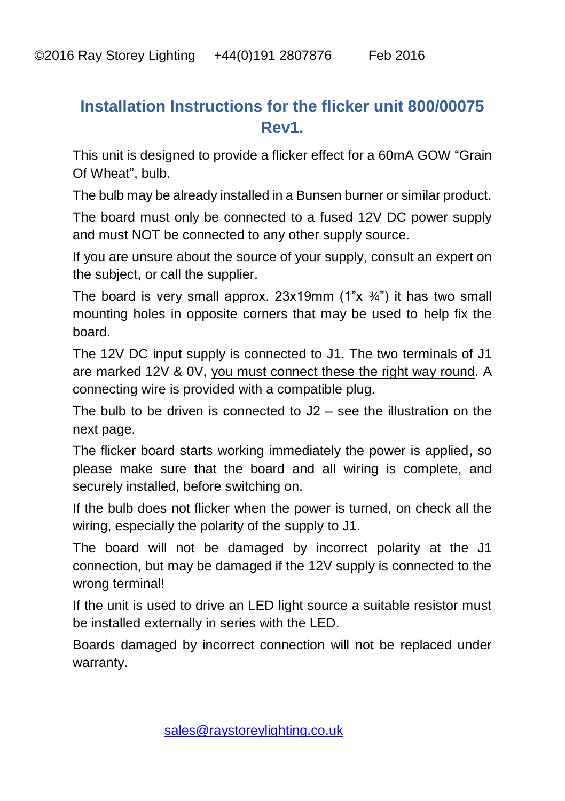## **Installation Instructions for the flicker unit 800/00075 Rev1.**

This unit is designed to provide a flicker effect for a 60mA GOW "Grain Of Wheat", bulb.

The bulb may be already installed in a Bunsen burner or similar product.

The board must only be connected to a fused 12V DC power supply and must NOT be connected to any other supply source.

If you are unsure about the source of your supply, consult an expert on the subject, or call the supplier.

The board is very small approx.  $23x19mm$  (1" $x \frac{3}{4}$ ") it has two small mounting holes in opposite corners that may be used to help fix the board.

The 12V DC input supply is connected to J1. The two terminals of J1 are marked 12V & 0V, you must connect these the right way round. A connecting wire is provided with a compatible plug.

The bulb to be driven is connected to J2 – see the illustration on the next page.

The flicker board starts working immediately the power is applied, so please make sure that the board and all wiring is complete, and securely installed, before switching on.

If the bulb does not flicker when the power is turned, on check all the wiring, especially the polarity of the supply to J1.

The board will not be damaged by incorrect polarity at the J1 connection, but may be damaged if the 12V supply is connected to the wrong terminal!

If the unit is used to drive an LED light source a suitable resistor must be installed externally in series with the LED.

Boards damaged by incorrect connection will not be replaced under warranty.